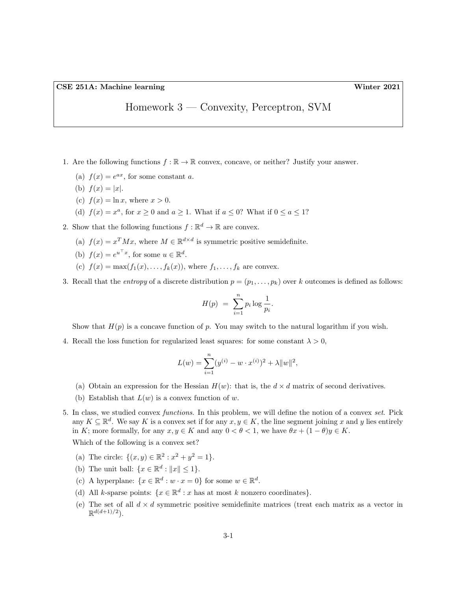## Homework 3 — Convexity, Perceptron, SVM

- 1. Are the following functions  $f : \mathbb{R} \to \mathbb{R}$  convex, concave, or neither? Justify your answer.
	- (a)  $f(x) = e^{ax}$ , for some constant a.
	- (b)  $f(x) = |x|$ .
	- (c)  $f(x) = \ln x$ , where  $x > 0$ .
	- (d)  $f(x) = x^a$ , for  $x \ge 0$  and  $a \ge 1$ . What if  $a \le 0$ ? What if  $0 \le a \le 1$ ?
- 2. Show that the following functions  $f : \mathbb{R}^d \to \mathbb{R}$  are convex.
	- (a)  $f(x) = x^T M x$ , where  $M \in \mathbb{R}^{d \times d}$  is symmetric positive semidefinite.
	- (b)  $f(x) = e^{u^{\top}x}$ , for some  $u \in \mathbb{R}^d$ .
	- (c)  $f(x) = \max(f_1(x), \ldots, f_k(x))$ , where  $f_1, \ldots, f_k$  are convex.
- 3. Recall that the entropy of a discrete distribution  $p = (p_1, \ldots, p_k)$  over k outcomes is defined as follows:

$$
H(p) = \sum_{i=1}^{n} p_i \log \frac{1}{p_i}.
$$

Show that  $H(p)$  is a concave function of p. You may switch to the natural logarithm if you wish.

4. Recall the loss function for regularized least squares: for some constant  $\lambda > 0$ ,

$$
L(w) = \sum_{i=1}^{n} (y^{(i)} - w \cdot x^{(i)})^2 + \lambda ||w||^2,
$$

- (a) Obtain an expression for the Hessian  $H(w)$ : that is, the  $d \times d$  matrix of second derivatives.
- (b) Establish that  $L(w)$  is a convex function of w.
- 5. In class, we studied convex functions. In this problem, we will define the notion of a convex set. Pick any  $K \subseteq \mathbb{R}^d$ . We say K is a convex set if for any  $x, y \in K$ , the line segment joining x and y lies entirely in K; more formally, for any  $x, y \in K$  and any  $0 < \theta < 1$ , we have  $\theta x + (1 - \theta)y \in K$ .

Which of the following is a convex set?

- (a) The circle:  $\{(x, y) \in \mathbb{R}^2 : x^2 + y^2 = 1\}.$
- (b) The unit ball:  $\{x \in \mathbb{R}^d : ||x|| \leq 1\}.$
- (c) A hyperplane:  $\{x \in \mathbb{R}^d : w \cdot x = 0\}$  for some  $w \in \mathbb{R}^d$ .
- (d) All k-sparse points:  $\{x \in \mathbb{R}^d : x \text{ has at most } k \text{ nonzero coordinates}\}.$
- (e) The set of all  $d \times d$  symmetric positive semidefinite matrices (treat each matrix as a vector in  $\mathbb{R}^{d(d+1)/2}$ ).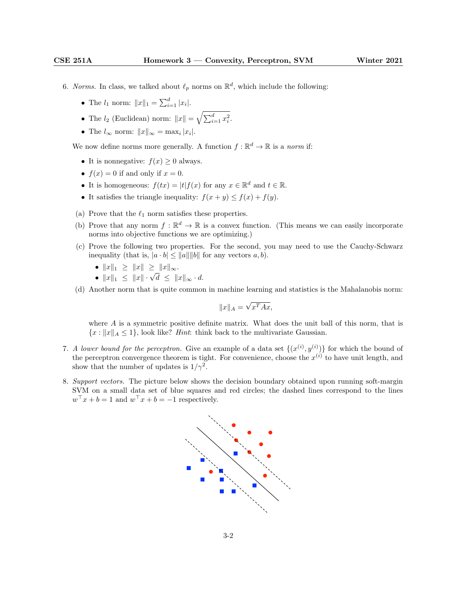- 6. Norms. In class, we talked about  $\ell_p$  norms on  $\mathbb{R}^d$ , which include the following:
	- The  $l_1$  norm:  $||x||_1 = \sum_{i=1}^d |x_i|$ .
	- The  $l_2$  (Euclidean) norm:  $||x|| = \sqrt{\sum_{i=1}^d x_i^2}$ .
	- The  $l_{\infty}$  norm:  $||x||_{\infty} = \max_i |x_i|$ .

We now define norms more generally. A function  $f : \mathbb{R}^d \to \mathbb{R}$  is a norm if:

- It is nonnegative:  $f(x) \geq 0$  always.
- $f(x) = 0$  if and only if  $x = 0$ .
- It is homogeneous:  $f(tx) = |t| f(x)$  for any  $x \in \mathbb{R}^d$  and  $t \in \mathbb{R}$ .
- It satisfies the triangle inequality:  $f(x + y) \le f(x) + f(y)$ .
- (a) Prove that the  $\ell_1$  norm satisfies these properties.
- (b) Prove that any norm  $f : \mathbb{R}^d \to \mathbb{R}$  is a convex function. (This means we can easily incorporate norms into objective functions we are optimizing.)
- (c) Prove the following two properties. For the second, you may need to use the Cauchy-Schwarz inequality (that is,  $|a \cdot b| \le ||a|| ||b||$  for any vectors  $a, b$ ).
	- $||x||_1 \ge ||x|| \ge ||x||_{\infty}$ .
	- $||x||_1 \le ||x|| \le ||x||_{\infty}$ .<br>•  $||x||_1 \le ||x|| \cdot \sqrt{d} \le ||x||_{\infty} \cdot d$ .
- (d) Another norm that is quite common in machine learning and statistics is the Mahalanobis norm:

$$
||x||_A = \sqrt{x^T A x},
$$

where  $A$  is a symmetric positive definite matrix. What does the unit ball of this norm, that is  ${x : ||x||_A \le 1}$ , look like? *Hint*: think back to the multivariate Gaussian.

- 7. A lower bound for the perceptron. Give an example of a data set  $\{(x^{(i)}, y^{(i)})\}$  for which the bound of the perceptron convergence theorem is tight. For convenience, choose the  $x^{(i)}$  to have unit length, and show that the number of updates is  $1/\gamma^2$ .
- 8. Support vectors. The picture below shows the decision boundary obtained upon running soft-margin SVM on a small data set of blue squares and red circles; the dashed lines correspond to the lines  $w^{\top} x + b = 1$  and  $w^{\top} x + b = -1$  respectively.